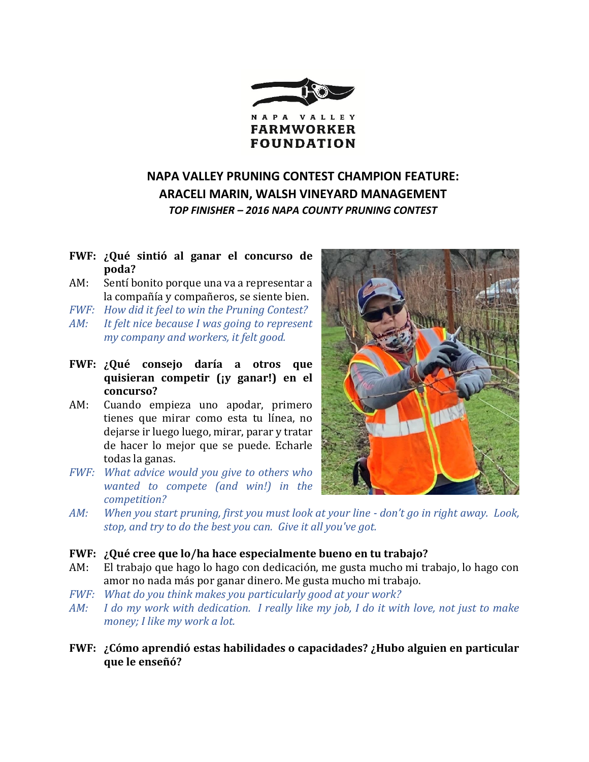

# **NAPA VALLEY PRUNING CONTEST CHAMPION FEATURE: ARACELI MARIN, WALSH VINEYARD MANAGEMENT** *TOP FINISHER – 2016 NAPA COUNTY PRUNING CONTEST*

# **FWF: ¿Qué sintió al ganar el concurso de poda?**

- AM: Sentí bonito porque una va a representar a la compañía y compañeros, se siente bien.
- *FWF: How did it feel to win the Pruning Contest?*
- *AM: It felt nice because I was going to represent my company and workers, it felt good.*
- **FWF: ¿Qué consejo daría a otros que quisieran competir (¡y ganar!) en el concurso?**
- AM: Cuando empieza uno apodar, primero tienes que mirar como esta tu línea, no dejarse ir luego luego, mirar, parar y tratar de hacer lo mejor que se puede. Echarle todas la ganas.
- *FWF: What advice would you give to others who wanted to compete (and win!) in the competition?*



*AM: When you start pruning, first you must look at your line - don't go in right away. Look, stop, and try to do the best you can. Give it all you've got.*

### **FWF: ¿Qué cree que lo/ha hace especialmente bueno en tu trabajo?**

- AM: El trabajo que hago lo hago con dedicación, me gusta mucho mi trabajo, lo hago con amor no nada más por ganar dinero. Me gusta mucho mi trabajo.
- *FWF: What do you think makes you particularly good at your work?*
- *AM: I do my work with dedication. I really like my job, I do it with love, not just to make money; I like my work a lot.*
- **FWF: ¿Cómo aprendió estas habilidades o capacidades? ¿Hubo alguien en particular que le enseñó?**